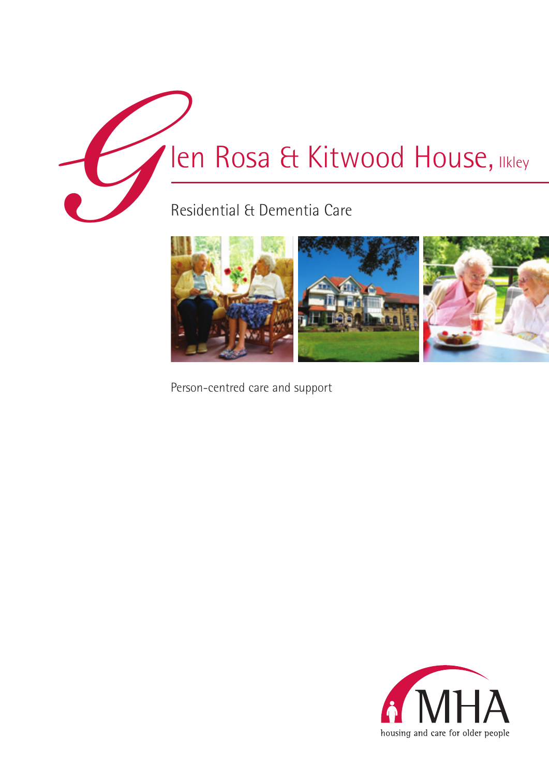**GRESIDENTIAL ROSA & Kity**<br>Residential & Dementia Care

# len Rosa & Kitwood House, Ilkley



Person-centred care and support

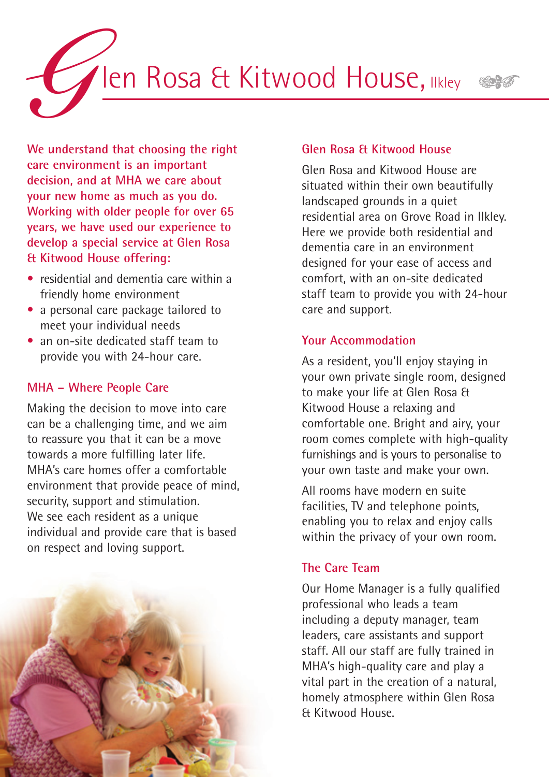

**We understand that choosing the right care environment is an important decision, and at MHA we care about your new home as much as you do. Working with older people for over 65 years, we have used our experience to develop a special service at Glen Rosa & Kitwood House offering:**

- residential and dementia care within a friendly home environment
- a personal care package tailored to meet your individual needs
- an on-site dedicated staff team to • provide you with 24-hour care.

### **MHA – Where People Care**

Making the decision to move into care can be a challenging time, and we aim to reassure you that it can be a move towards a more fulfilling later life. MHA's care homes offer a comfortable environment that provide peace of mind, security, support and stimulation. We see each resident as a unique individual and provide care that is based on respect and loving support.



#### **Glen Rosa & Kitwood House**

Glen Rosa and Kitwood House are situated within their own beautifully landscaped grounds in a quiet residential area on Grove Road in Ilkley. Here we provide both residential and dementia care in an environment designed for your ease of access and comfort, with an on-site dedicated staff team to provide you with 24-hour care and support.

#### **Your Accommodation**

As a resident, you'll enjoy staying in your own private single room, designed to make your life at Glen Rosa & Kitwood House a relaxing and comfortable one. Bright and airy, your room comes complete with high-quality furnishings and is yours to personalise to your own taste and make your own.

All rooms have modern en suite facilities, TV and telephone points, enabling you to relax and enjoy calls within the privacy of your own room.

# **The Care Team**

Our Home Manager is a fully qualified professional who leads a team including a deputy manager, team leaders, care assistants and support staff. All our staff are fully trained in MHA's high-quality care and play a vital part in the creation of a natural, homely atmosphere within Glen Rosa & Kitwood House.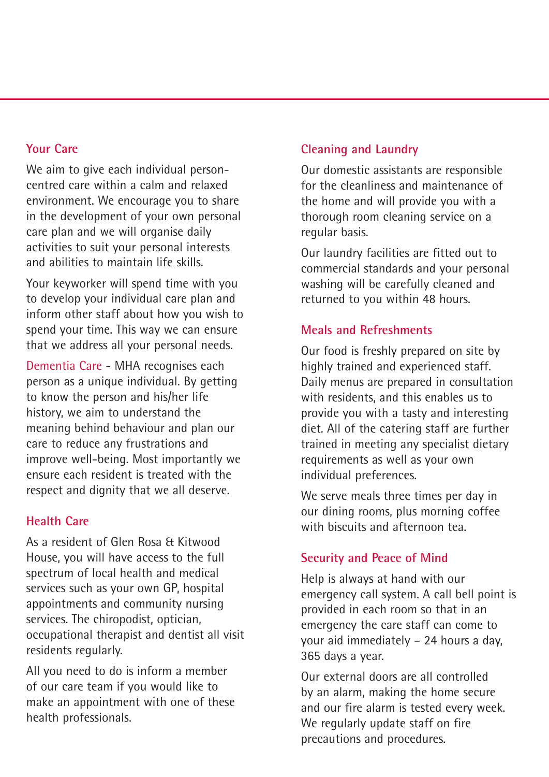#### **Your Care**

We aim to give each individual personcentred care within a calm and relaxed environment. We encourage you to share in the development of your own personal care plan and we will organise daily activities to suit your personal interests and abilities to maintain life skills.

Your keyworker will spend time with you to develop your individual care plan and inform other staff about how you wish to spend your time. This way we can ensure that we address all your personal needs.

Dementia Care - MHA recognises each person as a unique individual. By getting to know the person and his/her life history, we aim to understand the meaning behind behaviour and plan our care to reduce any frustrations and improve well-being. Most importantly we ensure each resident is treated with the respect and dignity that we all deserve.

# **Health Care**

As a resident of Glen Rosa & Kitwood House, you will have access to the full spectrum of local health and medical services such as your own GP, hospital appointments and community nursing services. The chiropodist, optician, occupational therapist and dentist all visit residents regularly.

All you need to do is inform a member of our care team if you would like to make an appointment with one of these health professionals.

# **Cleaning and Laundry**

Our domestic assistants are responsible for the cleanliness and maintenance of the home and will provide you with a thorough room cleaning service on a regular basis.

Our laundry facilities are fitted out to commercial standards and your personal washing will be carefully cleaned and returned to you within 48 hours.

# **Meals and Refreshments**

Our food is freshly prepared on site by highly trained and experienced staff. Daily menus are prepared in consultation with residents, and this enables us to provide you with a tasty and interesting diet. All of the catering staff are further trained in meeting any specialist dietary requirements as well as your own individual preferences.

We serve meals three times per day in our dining rooms, plus morning coffee with biscuits and afternoon tea.

# **Security and Peace of Mind**

Help is always at hand with our emergency call system. A call bell point is provided in each room so that in an emergency the care staff can come to your aid immediately – 24 hours a day, 365 days a year.

Our external doors are all controlled by an alarm, making the home secure and our fire alarm is tested every week. We regularly update staff on fire precautions and procedures.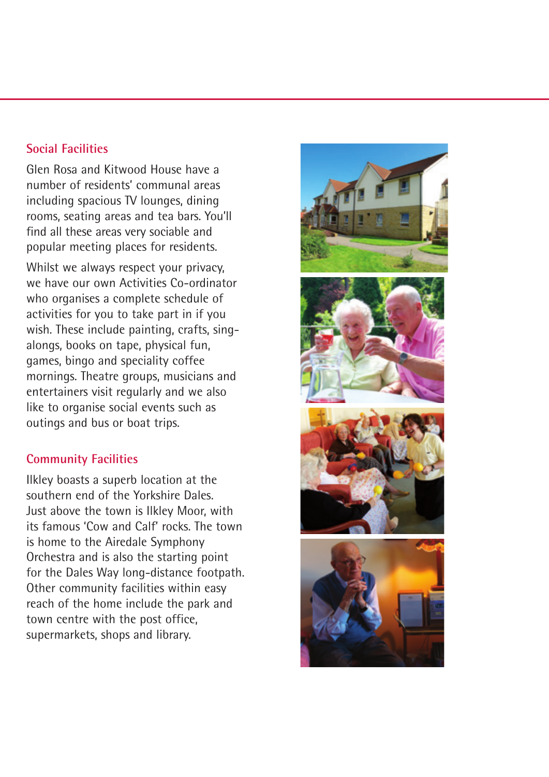#### **Social Facilities**

Glen Rosa and Kitwood House have a number of residents' communal areas including spacious TV lounges, dining rooms, seating areas and tea bars. You'll find all these areas very sociable and popular meeting places for residents.

Whilst we always respect your privacy, we have our own Activities Co-ordinator who organises a complete schedule of activities for you to take part in if you wish. These include painting, crafts, singalongs, books on tape, physical fun, games, bingo and speciality coffee mornings. Theatre groups, musicians and entertainers visit regularly and we also like to organise social events such as outings and bus or boat trips.

# **Community Facilities**

Ilkley boasts a superb location at the southern end of the Yorkshire Dales. Just above the town is Ilkley Moor, with its famous 'Cow and Calf' rocks. The town is home to the Airedale Symphony Orchestra and is also the starting point for the Dales Way long-distance footpath. Other community facilities within easy reach of the home include the park and town centre with the post office, supermarkets, shops and library.

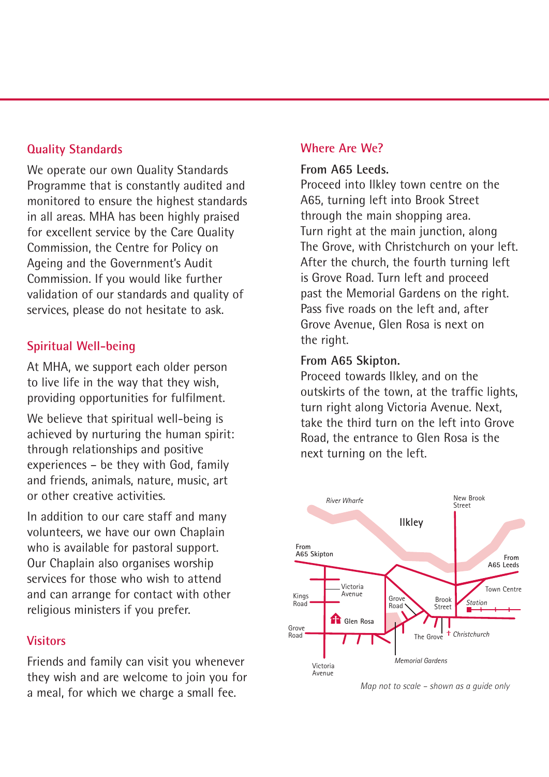# **Quality Standards**

We operate our own Quality Standards Programme that is constantly audited and monitored to ensure the highest standards in all areas. MHA has been highly praised for excellent service by the Care Quality Commission, the Centre for Policy on Ageing and the Government's Audit Commission. If you would like further validation of our standards and quality of services, please do not hesitate to ask.

# **Spiritual Well-being**

At MHA, we support each older person to live life in the way that they wish, providing opportunities for fulfilment.

We believe that spiritual well-being is achieved by nurturing the human spirit: through relationships and positive experiences – be they with God, family and friends, animals, nature, music, art or other creative activities.

In addition to our care staff and many volunteers, we have our own Chaplain who is available for pastoral support. Our Chaplain also organises worship services for those who wish to attend and can arrange for contact with other religious ministers if you prefer.

# **Visitors**

Friends and family can visit you whenever they wish and are welcome to join you for a meal, for which we charge a small fee.

# **Where Are We?**

#### **From A65 Leeds.**

Proceed into Ilkley town centre on the A65, turning left into Brook Street through the main shopping area. Turn right at the main junction, along The Grove, with Christchurch on your left. After the church, the fourth turning left is Grove Road. Turn left and proceed past the Memorial Gardens on the right. Pass five roads on the left and, after Grove Avenue, Glen Rosa is next on the right.

#### **From A65 Skipton.**

Proceed towards Ilkley, and on the outskirts of the town, at the traffic lights, turn right along Victoria Avenue. Next, take the third turn on the left into Grove Road, the entrance to Glen Rosa is the next turning on the left.



*Map not to scale – shown as a guide only*